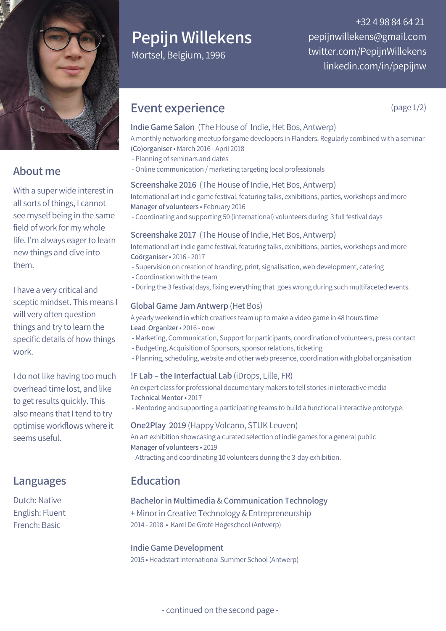

## **About me**

With a super wide interest in all sorts of things, I cannot see myself being in the same field of work for my whole life. I'm always eager to learn new things and dive into them.

I have a very critical and sceptic mindset. This means I will very often question things and try to learn the specific details of how things work.

I do not like having too much overhead time lost, and like to get results quickly. This also means that I tend to try optimise workflows where it seems useful.

## **Languages**

Dutch: Native English: Fluent French: Basic

# **Pepijn Willekens**

Mortsel, Belgium, 1996

+32 4 98 84 64 21 pepijnwillekens@gmail.com twitter.com/PepijnWillekens linkedin.com/in/pepijnw

## **Event experience**

**Indie Game Salon** (The House of Indie, Het Bos, Antwerp)

A monthly networking meetup for game developers in Flanders. Regularly combined with a seminar **(Co)organiser**• March 2016 - April 2018

- Planning of seminars and dates
- -Online communication / marketing targeting local professionals

## **Screenshake 2016** (The House of Indie, Het Bos, Antwerp)

**I**nternational **a**rtindie game festival, featuring talks, exhibitions, parties, workshops and more **Manager of volunteers** • February 2016

- Coordinating and supporting 50 (international) volunteers during 3 full festival days

## **Screenshake 2017** (The House of Indie, Het Bos, Antwerp)

**I**nternational artindie game festival, featuring talks, exhibitions, parties, workshops and more **Coörganiser**• 2016 - 2017

- Supervision on creation of branding, print, signalisation, web development, catering
- Coordination with the team
- During the 3 festival days, fixing everything that goes wrong during such multifaceted events.

## **Global Game Jam Antwerp** (Het Bos)

A yearly weekend in which creatives team up to make a video game in 48 hours time **Lead Organizer**• 2016 - now

- Marketing, Communication, Support for participants, coordination of volunteers, press contact
- Budgeting, Acquisition of Sponsors, sponsor relations, ticketing
- Planning, scheduling, website and other web presence, coordination with global organisation

## **!F Lab – the Interfactual Lab** (iDrops, Lille, FR)

An expert class for professional documentary makers to tell stories in interactive media Te**chnical Mentor**• 2017

- Mentoring and supporting a participating teams to build a functional interactive prototype.

#### **One2Play 2019** (Happy Volcano, STUK Leuven)

An art exhibition showcasing a curated selection of indie games for a general public **Manager of volunteers** • 2019 - Attracting and coordinating 10 volunteers during the 3-day exhibition.

## **Education**

## **Bachelorin Multimedia & Communication Technology**

+ Minorin Creative Technology & Entrepreneurship 2014 - 2018 • Karel De Grote Hogeschool (Antwerp)

## **Indie Game Development**

2015 • Headstart International Summer School (Antwerp)

(page 1/2)